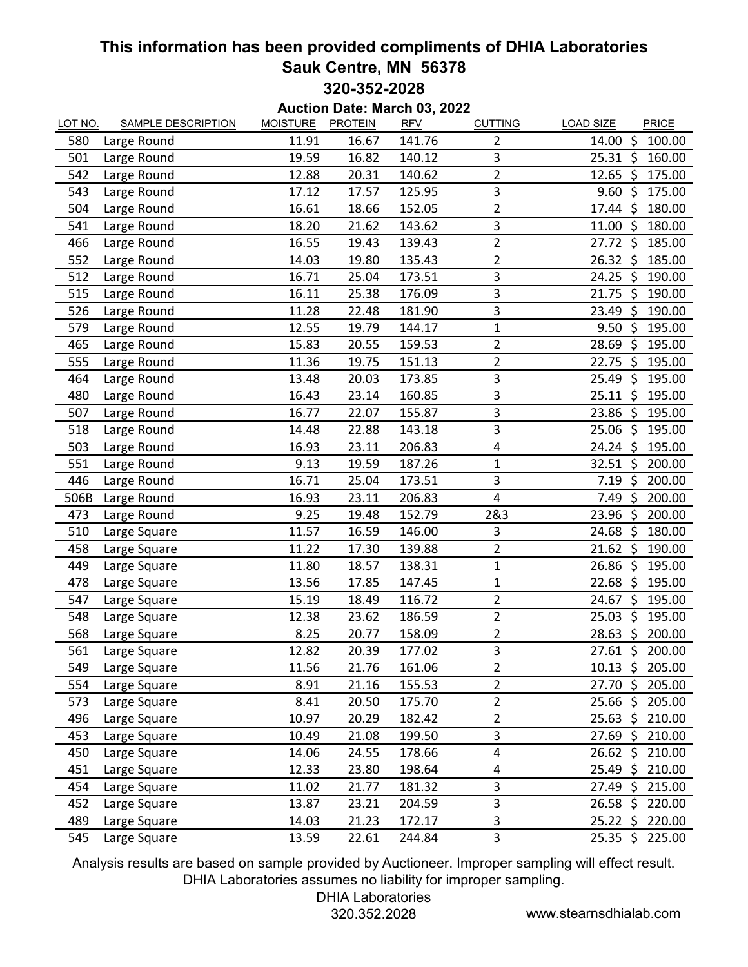## **This information has been provided compliments of DHIA Laboratories Sauk Centre, MN 56378 320-352-2028**

**Auction Date: March 03, 2022**

| LOT NO. | <b>SAMPLE DESCRIPTION</b> | <b>MOISTURE</b> | <b>PROTEIN</b> | <b>RFV</b> | <b>CUTTING</b> | <b>LOAD SIZE</b><br><b>PRICE</b> |
|---------|---------------------------|-----------------|----------------|------------|----------------|----------------------------------|
| 580     | Large Round               | 11.91           | 16.67          | 141.76     | $\overline{2}$ | \$<br>100.00<br>14.00            |
| 501     | Large Round               | 19.59           | 16.82          | 140.12     | 3              | - \$<br>160.00<br>25.31          |
| 542     | Large Round               | 12.88           | 20.31          | 140.62     | $\overline{2}$ | 12.65<br>\$<br>175.00            |
| 543     | Large Round               | 17.12           | 17.57          | 125.95     | 3              | 9.60<br>\$<br>175.00             |
| 504     | Large Round               | 16.61           | 18.66          | 152.05     | $\overline{c}$ | \$<br>17.44<br>180.00            |
| 541     | Large Round               | 18.20           | 21.62          | 143.62     | 3              | $11.00~\text{S}$<br>180.00       |
| 466     | Large Round               | 16.55           | 19.43          | 139.43     | $\overline{2}$ | - \$<br>27.72<br>185.00          |
| 552     | Large Round               | 14.03           | 19.80          | 135.43     | $\overline{2}$ | 26.32<br>\$<br>185.00            |
| 512     | Large Round               | 16.71           | 25.04          | 173.51     | 3              | $24.25$ \$<br>190.00             |
| 515     | Large Round               | 16.11           | 25.38          | 176.09     | 3              | 21.75<br>\$<br>190.00            |
| 526     | Large Round               | 11.28           | 22.48          | 181.90     | 3              | \$<br>190.00<br>23.49            |
| 579     | Large Round               | 12.55           | 19.79          | 144.17     | $\mathbf 1$    | \$<br>195.00<br>9.50             |
| 465     | Large Round               | 15.83           | 20.55          | 159.53     | $\overline{2}$ | 28.69<br>\$<br>195.00            |
| 555     | Large Round               | 11.36           | 19.75          | 151.13     | $\overline{2}$ | \$<br>22.75<br>195.00            |
| 464     | Large Round               | 13.48           | 20.03          | 173.85     | 3              | \$<br>25.49<br>195.00            |
| 480     | Large Round               | 16.43           | 23.14          | 160.85     | 3              | 25.11<br>\$<br>195.00            |
| 507     | Large Round               | 16.77           | 22.07          | 155.87     | 3              | \$<br>195.00<br>23.86            |
| 518     | Large Round               | 14.48           | 22.88          | 143.18     | 3              | \$<br>25.06<br>195.00            |
| 503     | Large Round               | 16.93           | 23.11          | 206.83     | 4              | 24.24<br>\$<br>195.00            |
| 551     | Large Round               | 9.13            | 19.59          | 187.26     | $\mathbf{1}$   | - \$<br>200.00<br>32.51          |
| 446     | Large Round               | 16.71           | 25.04          | 173.51     | 3              | \$<br>200.00<br>7.19             |
| 506B    | Large Round               | 16.93           | 23.11          | 206.83     | 4              | \$<br>200.00<br>7.49             |
| 473     | Large Round               | 9.25            | 19.48          | 152.79     | 2&3            | \$<br>23.96<br>200.00            |
| 510     | Large Square              | 11.57           | 16.59          | 146.00     | 3              | \$<br>24.68<br>180.00            |
| 458     | Large Square              | 11.22           | 17.30          | 139.88     | $\overline{2}$ | $21.62 \; \text{S}$<br>190.00    |
| 449     | Large Square              | 11.80           | 18.57          | 138.31     | $\mathbf{1}$   | 26.86<br>\$<br>195.00            |
| 478     | Large Square              | 13.56           | 17.85          | 147.45     | $\mathbf 1$    | 22.68<br>\$<br>195.00            |
| 547     | Large Square              | 15.19           | 18.49          | 116.72     | $\overline{2}$ | 24.67<br>\$<br>195.00            |
| 548     | Large Square              | 12.38           | 23.62          | 186.59     | $\overline{2}$ | 25.03<br>\$<br>195.00            |
| 568     | Large Square              | 8.25            | 20.77          | 158.09     | $\overline{2}$ | \$<br>200.00<br>28.63            |
| 561     | Large Square              | 12.82           | 20.39          | 177.02     | 3              | 27.61 \$ 200.00                  |
| 549     | Large Square              | 11.56           | 21.76          | 161.06     | $\overline{2}$ | 10.13 \$ 205.00                  |
| 554     | Large Square              | 8.91            | 21.16          | 155.53     | $\overline{2}$ | $27.70 \; \text{S}$<br>205.00    |
| 573     | Large Square              | 8.41            | 20.50          | 175.70     | $\overline{2}$ | 25.66 \$ 205.00                  |
| 496     | Large Square              | 10.97           | 20.29          | 182.42     | 2              | $25.63 \; \zeta$<br>210.00       |
| 453     | Large Square              | 10.49           | 21.08          | 199.50     | 3              | 27.69 \$<br>210.00               |
| 450     | Large Square              | 14.06           | 24.55          | 178.66     | 4              | 26.62 \$ 210.00                  |
| 451     | Large Square              | 12.33           | 23.80          | 198.64     | 4              | $25.49$ \$<br>210.00             |
| 454     | Large Square              | 11.02           | 21.77          | 181.32     | 3              | $27.49 \;$ \$<br>215.00          |
| 452     | Large Square              | 13.87           | 23.21          | 204.59     | 3              | $26.58 \; \zeta$<br>220.00       |
| 489     | Large Square              | 14.03           | 21.23          | 172.17     | 3              | $25.22 \div$<br>220.00           |
| 545     | Large Square              | 13.59           | 22.61          | 244.84     | 3              | 25.35 \$ 225.00                  |

Analysis results are based on sample provided by Auctioneer. Improper sampling will effect result. DHIA Laboratories assumes no liability for improper sampling.

DHIA Laboratories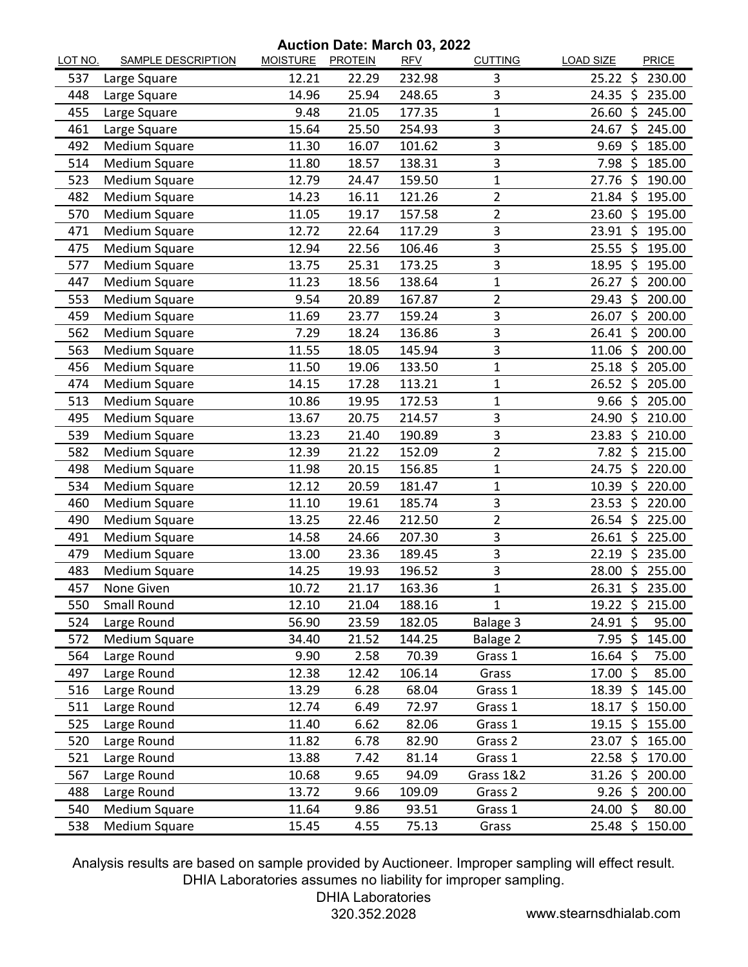## **Auction Date: March 03, 2022**

| LOT NO. | <b>SAMPLE DESCRIPTION</b> | <u>MOISTURE</u> | <b>PROTEIN</b> | <b>RFV</b> | <b>CUTTING</b> | <b>LOAD SIZE</b>    |      | PRICE           |
|---------|---------------------------|-----------------|----------------|------------|----------------|---------------------|------|-----------------|
| 537     | Large Square              | 12.21           | 22.29          | 232.98     | 3              | $25.22$ \$          |      | 230.00          |
| 448     | Large Square              | 14.96           | 25.94          | 248.65     | 3              | 24.35               | - \$ | 235.00          |
| 455     | Large Square              | 9.48            | 21.05          | 177.35     | $\mathbf 1$    | $26.60~\text{S}$    |      | 245.00          |
| 461     | Large Square              | 15.64           | 25.50          | 254.93     | 3              | 24.67               | -\$  | 245.00          |
| 492     | Medium Square             | 11.30           | 16.07          | 101.62     | 3              | 9.69                | Ś    | 185.00          |
| 514     | Medium Square             | 11.80           | 18.57          | 138.31     | 3              | $7.98$ \$           |      | 185.00          |
| 523     | Medium Square             | 12.79           | 24.47          | 159.50     | 1              | 27.76               | -Ś   | 190.00          |
| 482     | Medium Square             | 14.23           | 16.11          | 121.26     | $\overline{2}$ | $21.84 \;$ \$       |      | 195.00          |
| 570     | Medium Square             | 11.05           | 19.17          | 157.58     | $\overline{2}$ | $23.60$ \$          |      | 195.00          |
| 471     | Medium Square             | 12.72           | 22.64          | 117.29     | 3              | $23.91 \; \simeq$   |      | 195.00          |
| 475     | Medium Square             | 12.94           | 22.56          | 106.46     | 3              | 25.55               | -\$  | 195.00          |
| 577     | Medium Square             | 13.75           | 25.31          | 173.25     | 3              | 18.95 \$            |      | 195.00          |
| 447     | Medium Square             | 11.23           | 18.56          | 138.64     | 1              | 26.27               | Ŝ.   | 200.00          |
| 553     | <b>Medium Square</b>      | 9.54            | 20.89          | 167.87     | $\overline{2}$ | 29.43               | \$   | 200.00          |
| 459     | Medium Square             | 11.69           | 23.77          | 159.24     | 3              | 26.07 \$            |      | 200.00          |
| 562     | Medium Square             | 7.29            | 18.24          | 136.86     | 3              | $26.41 \; \text{S}$ |      | 200.00          |
| 563     | <b>Medium Square</b>      | 11.55           | 18.05          | 145.94     | 3              | 11.06               | -\$  | 200.00          |
| 456     | Medium Square             | 11.50           | 19.06          | 133.50     | 1              | $25.18$ \$          |      | 205.00          |
| 474     | Medium Square             | 14.15           | 17.28          | 113.21     | 1              | 26.52               | \$   | 205.00          |
| 513     | Medium Square             | 10.86           | 19.95          | 172.53     | 1              | $9.66$ \$           |      | 205.00          |
| 495     | Medium Square             | 13.67           | 20.75          | 214.57     | 3              | 24.90               | -\$  | 210.00          |
| 539     | Medium Square             | 13.23           | 21.40          | 190.89     | 3              | 23.83               | \$   | 210.00          |
| 582     | <b>Medium Square</b>      | 12.39           | 21.22          | 152.09     | $\overline{2}$ | $7.82 \;$ \$        |      | 215.00          |
| 498     | Medium Square             | 11.98           | 20.15          | 156.85     | 1              | 24.75               | -\$  | 220.00          |
| 534     | Medium Square             | 12.12           | 20.59          | 181.47     | 1              | 10.39               | \$   | 220.00          |
| 460     | Medium Square             | 11.10           | 19.61          | 185.74     | 3              | 23.53               | \$   | 220.00          |
| 490     | Medium Square             | 13.25           | 22.46          | 212.50     | $\overline{2}$ | 26.54 \$            |      | 225.00          |
| 491     | Medium Square             | 14.58           | 24.66          | 207.30     | 3              | $26.61$ \$          |      | 225.00          |
| 479     | Medium Square             | 13.00           | 23.36          | 189.45     | 3              | $22.19$ \$          |      | 235.00          |
| 483     | Medium Square             | 14.25           | 19.93          | 196.52     | 3              | 28.00               | S.   | 255.00          |
| 457     | None Given                | 10.72           | 21.17          | 163.36     | $\mathbf 1$    |                     |      | 26.31 \$ 235.00 |
| 550     | Small Round               | 12.10           | 21.04          | 188.16     | 1              | $19.22 \; \zeta$    |      | 215.00          |
| 524     | Large Round               | 56.90           | 23.59          | 182.05     | Balage 3       | 24.91               | \$   | 95.00           |
| 572     | Medium Square             | 34.40           | 21.52          | 144.25     | Balage 2       | $7.95$ \$           |      | 145.00          |
| 564     | Large Round               | 9.90            | 2.58           | 70.39      | Grass 1        | 16.64 \$            |      | 75.00           |
| 497     | Large Round               | 12.38           | 12.42          | 106.14     | Grass          | $17.00~\text{S}$    |      | 85.00           |
| 516     | Large Round               | 13.29           | 6.28           | 68.04      | Grass 1        | $18.39 \; \simeq$   |      | 145.00          |
| 511     | Large Round               | 12.74           | 6.49           | 72.97      | Grass 1        | $18.17 \; \text{S}$ |      | 150.00          |
| 525     | Large Round               | 11.40           | 6.62           | 82.06      | Grass 1        | $19.15 \; \simeq$   |      | 155.00          |
| 520     | Large Round               | 11.82           | 6.78           | 82.90      | Grass 2        | 23.07 \$            |      | 165.00          |
| 521     | Large Round               | 13.88           | 7.42           | 81.14      | Grass 1        | $22.58 \; \zeta$    |      | 170.00          |
| 567     | Large Round               | 10.68           | 9.65           | 94.09      | Grass 1&2      | 31.26               | -\$  | 200.00          |
| 488     | Large Round               | 13.72           | 9.66           | 109.09     | Grass 2        | $9.26$ \$           |      | 200.00          |
| 540     | Medium Square             | 11.64           | 9.86           | 93.51      | Grass 1        | 24.00 \$            |      | 80.00           |
| 538     | Medium Square             | 15.45           | 4.55           | 75.13      | Grass          | 25.48 \$            |      | 150.00          |

Analysis results are based on sample provided by Auctioneer. Improper sampling will effect result. DHIA Laboratories assumes no liability for improper sampling.

DHIA Laboratories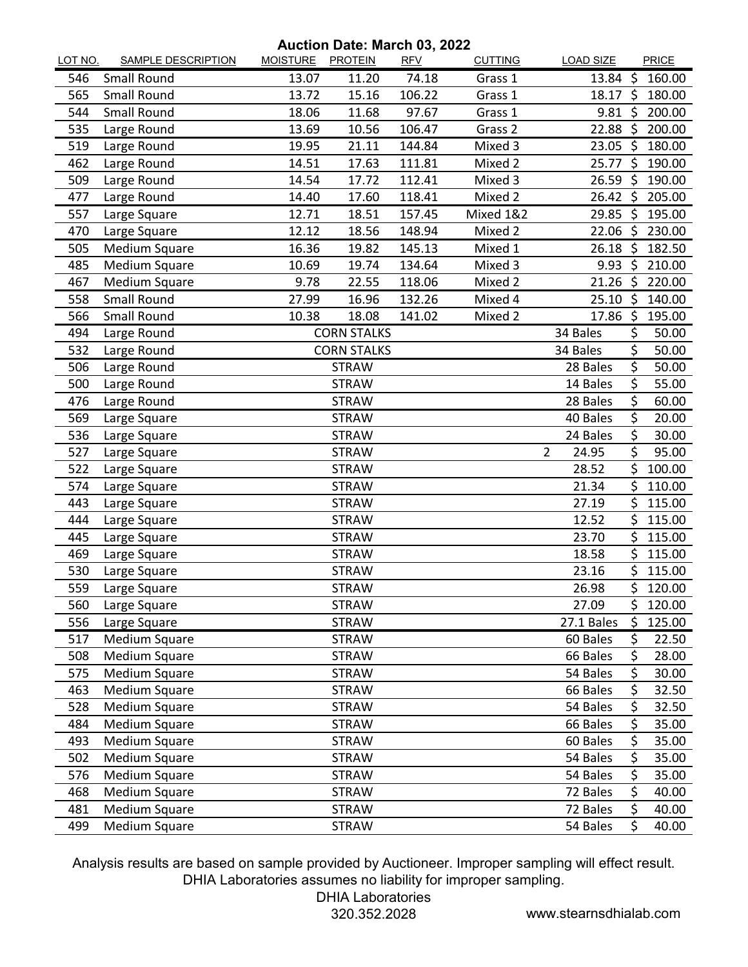**Auction Date: March 03, 2022**

| LOT NO. | <b>SAMPLE DESCRIPTION</b> | MOISTURE PROTEIN | Auction Date. March 09, 2022 | <b>RFV</b> | <b>CUTTING</b> | <b>LOAD SIZE</b>        |     | PRICE           |
|---------|---------------------------|------------------|------------------------------|------------|----------------|-------------------------|-----|-----------------|
| 546     | Small Round               | 13.07            | 11.20                        | 74.18      | Grass 1        | $13.84 \; \simeq$       |     | 160.00          |
| 565     | <b>Small Round</b>        | 13.72            | 15.16                        | 106.22     | Grass 1        | $18.17 \text{ }$        |     | 180.00          |
| 544     | Small Round               | 18.06            | 11.68                        | 97.67      | Grass 1        | $9.81 \;$ \$            |     | 200.00          |
| 535     | Large Round               | 13.69            | 10.56                        | 106.47     | Grass 2        | 22.88 \$                |     | 200.00          |
| 519     | Large Round               | 19.95            | 21.11                        | 144.84     | Mixed 3        | 23.05 \$                |     | 180.00          |
| 462     | Large Round               | 14.51            | 17.63                        | 111.81     | Mixed 2        | 25.77                   | -\$ | 190.00          |
| 509     | Large Round               | 14.54            | 17.72                        | 112.41     | Mixed 3        | 26.59                   | - Ś | 190.00          |
| 477     | Large Round               | 14.40            | 17.60                        | 118.41     | Mixed 2        |                         |     | 26.42 \$ 205.00 |
| 557     | Large Square              | 12.71            | 18.51                        | 157.45     | Mixed 1&2      | $29.85 \; \zeta$        |     | 195.00          |
| 470     | Large Square              | 12.12            | 18.56                        | 148.94     | Mixed 2        | 22.06 \$                |     | 230.00          |
| 505     | Medium Square             | 16.36            | 19.82                        | 145.13     | Mixed 1        | $26.18$ \$              |     | 182.50          |
| 485     | Medium Square             | 10.69            | 19.74                        | 134.64     | Mixed 3        | $9.93$ \$               |     | 210.00          |
| 467     | Medium Square             | 9.78             | 22.55                        | 118.06     | Mixed 2        | $21.26$ \$              |     | 220.00          |
| 558     | Small Round               | 27.99            | 16.96                        | 132.26     | Mixed 4        | $25.10$ \$              |     | 140.00          |
| 566     | Small Round               | 10.38            | 18.08                        | 141.02     | Mixed 2        | 17.86 \$                |     | 195.00          |
| 494     | Large Round               |                  | <b>CORN STALKS</b>           |            |                | 34 Bales                | \$  | 50.00           |
| 532     | Large Round               |                  | <b>CORN STALKS</b>           |            |                | 34 Bales                | \$  | 50.00           |
| 506     | Large Round               |                  | <b>STRAW</b>                 |            |                | 28 Bales                | \$  | 50.00           |
| 500     | Large Round               |                  | <b>STRAW</b>                 |            |                | 14 Bales                | \$  | 55.00           |
| 476     | Large Round               |                  | <b>STRAW</b>                 |            |                | 28 Bales                | \$  | 60.00           |
| 569     | Large Square              |                  | <b>STRAW</b>                 |            |                | 40 Bales                | \$  | 20.00           |
| 536     | Large Square              |                  | <b>STRAW</b>                 |            |                | 24 Bales                | \$  | 30.00           |
| 527     | Large Square              |                  | <b>STRAW</b>                 |            |                | $\overline{2}$<br>24.95 | \$  | 95.00           |
| 522     | Large Square              |                  | <b>STRAW</b>                 |            |                | 28.52                   | \$  | 100.00          |
| 574     | Large Square              |                  | <b>STRAW</b>                 |            |                | 21.34                   | \$  | 110.00          |
| 443     | Large Square              | <b>STRAW</b>     |                              |            |                | 27.19                   | \$  | 115.00          |
| 444     | Large Square              |                  | 12.52                        | Ś          | 115.00         |                         |     |                 |
| 445     | Large Square              | <b>STRAW</b>     |                              |            |                | 23.70                   | \$  | 115.00          |
| 469     | Large Square              | <b>STRAW</b>     |                              |            |                | 18.58                   | \$  | 115.00          |
| 530     | Large Square              | <b>STRAW</b>     |                              |            |                | 23.16                   | Ś   | 115.00          |
| 559     | Large Square              | <b>STRAW</b>     |                              |            |                | 26.98                   | Ś   | 120.00          |
| 560     | Large Square              | <b>STRAW</b>     |                              |            |                | 27.09                   | \$. | 120.00          |
| 556     | Large Square              |                  | <b>STRAW</b>                 |            |                | 27.1 Bales              | \$  | 125.00          |
| 517     | Medium Square             |                  | <b>STRAW</b>                 |            |                | 60 Bales                | \$  | 22.50           |
| 508     | Medium Square             |                  | <b>STRAW</b>                 |            |                | 66 Bales                | \$  | 28.00           |
| 575     | Medium Square             |                  | <b>STRAW</b>                 |            |                | 54 Bales                | \$  | 30.00           |
| 463     | Medium Square             |                  | <b>STRAW</b>                 |            |                | 66 Bales                | \$  | 32.50           |
| 528     | Medium Square             |                  | <b>STRAW</b>                 |            |                | 54 Bales                | \$  | 32.50           |
| 484     | Medium Square             |                  | <b>STRAW</b>                 |            |                | 66 Bales                | \$  | 35.00           |
| 493     | Medium Square             |                  | <b>STRAW</b>                 |            |                | 60 Bales                | \$  | 35.00           |
| 502     | Medium Square             |                  | <b>STRAW</b>                 |            |                | 54 Bales                | \$  | 35.00           |
| 576     | Medium Square             |                  | 54 Bales                     | \$         | 35.00          |                         |     |                 |
| 468     | Medium Square             |                  | <b>STRAW</b>                 |            |                | 72 Bales                | \$  | 40.00           |
| 481     | Medium Square             |                  | <b>STRAW</b>                 |            |                | 72 Bales                | \$  | 40.00           |
| 499     | Medium Square             |                  | <b>STRAW</b>                 |            |                | 54 Bales                | \$  | 40.00           |

Analysis results are based on sample provided by Auctioneer. Improper sampling will effect result. DHIA Laboratories assumes no liability for improper sampling.

DHIA Laboratories

320.352.2028 www.stearnsdhialab.com